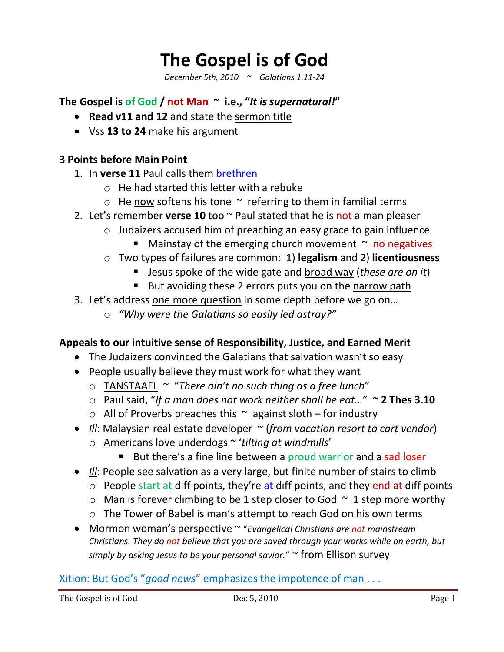# **The Gospel is of God**

*December 5th, 2010 ~ Galatians 1.11-24*

**The Gospel is of God / not Man ~ i.e., "***It is supernatural!***"**

- **Read v11 and 12** and state the sermon title
- Vss **13 to 24** make his argument

# **3 Points before Main Point**

- 1. In **verse 11** Paul calls them brethren
	- o He had started this letter with a rebuke
	- $\circ$  He now softens his tone  $\sim$  referring to them in familial terms
- 2. Let's remember **verse 10** too ~ Paul stated that he is not a man pleaser
	- o Judaizers accused him of preaching an easy grace to gain influence
		- **Mainstay of the emerging church movement**  $\sim$  **no negatives**
	- o Two types of failures are common: 1) **legalism** and 2) **licentiousness**
		- Jesus spoke of the wide gate and broad way (*these are on it*)
		- But avoiding these 2 errors puts you on the narrow path
- 3. Let's address one more question in some depth before we go on…
	- o *"Why were the Galatians so easily led astray?"*

#### **Appeals to our intuitive sense of Responsibility, Justice, and Earned Merit**

- The Judaizers convinced the Galatians that salvation wasn't so easy
- People usually believe they must work for what they want
	- o TANSTAAFL ~ "*There ain't no such thing as a free lunch*"
	- o Paul said, "*If a man does not work neither shall he eat…*" ~ **2 Thes 3.10**
	- $\circ$  All of Proverbs preaches this  $\sim$  against sloth for industry
- *Ill*: Malaysian real estate developer ~ (*from vacation resort to cart vendor*)
	- o Americans love underdogs ~ '*tilting at windmills*'
		- But there's a fine line between a proud warrior and a sad loser
- *Ill*: People see salvation as a very large, but finite number of stairs to climb
	- $\circ$  People start at diff points, they're at diff points, and they end at diff points
	- $\circ$  Man is forever climbing to be 1 step closer to God  $\sim$  1 step more worthy
	- o The Tower of Babel is man's attempt to reach God on his own terms
- Mormon woman's perspective ~ "*Evangelical Christians are not mainstream Christians. They do not believe that you are saved through your works while on earth, but simply by asking Jesus to be your personal savior.*" ~ from Ellison survey

#### Xition: But God's "*good news*" emphasizes the impotence of man . . .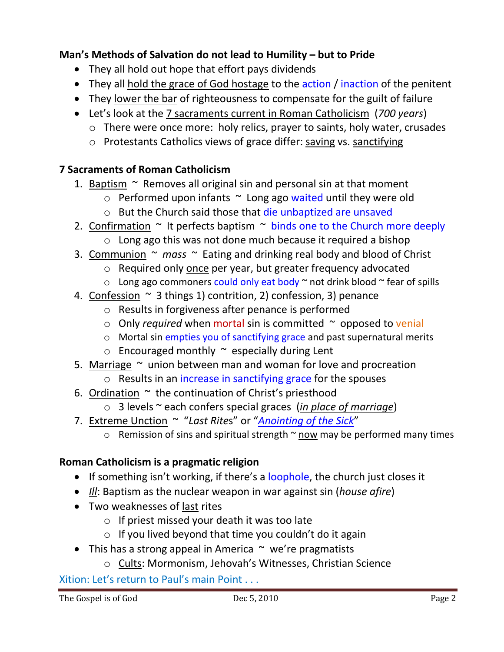# **Man's Methods of Salvation do not lead to Humility – but to Pride**

- They all hold out hope that effort pays dividends
- They all hold the grace of God hostage to the action / inaction of the penitent
- They lower the bar of righteousness to compensate for the guilt of failure
- Let's look at the 7 sacraments current in Roman Catholicism (*700 years*)
	- o There were once more: holy relics, prayer to saints, holy water, crusades
	- o Protestants Catholics views of grace differ: saving vs. sanctifying

# **7 Sacraments of Roman Catholicism**

- 1. Baptism  $\sim$  Removes all original sin and personal sin at that moment
	- $\circ$  Performed upon infants  $\sim$  Long ago waited until they were old
	- o But the Church said those that die unbaptized are unsaved
- 2. Confirmation  $\sim$  It perfects baptism  $\sim$  binds one to the Church more deeply
	- o Long ago this was not done much because it required a bishop
- 3. Communion ~ *mass* ~ Eating and drinking real body and blood of Christ
	- o Required only once per year, but greater frequency advocated
	- $\circ$  Long ago commoners could only eat body  $\sim$  not drink blood  $\sim$  fear of spills
- 4. Confession  $\sim$  3 things 1) contrition, 2) confession, 3) penance
	- o Results in forgiveness after penance is performed
	- o Only *required* when mortal sin is committed ~ opposed to venial
	- o Mortal sin empties you of sanctifying grace and past supernatural merits
	- $\circ$  Encouraged monthly  $\sim$  especially during Lent
- 5. Marriage  $\sim$  union between man and woman for love and procreation
	- o Results in an increase in sanctifying grace for the spouses
- 6. Ordination  $\sim$  the continuation of Christ's priesthood
	- o 3 levels ~ each confers special graces (*in place of marriage*)
- 7. Extreme Unction ~ "*Last Rite*s" or "*Anointing of the Sick*"
	- $\circ$  Remission of sins and spiritual strength  $\sim$  now may be performed many times

# **Roman Catholicism is a pragmatic religion**

- If something isn't working, if there's a loophole, the church just closes it
- *Ill*: Baptism as the nuclear weapon in war against sin (*house afire*)
- Two weaknesses of last rites
	- $\circ$  If priest missed your death it was too late
	- o If you lived beyond that time you couldn't do it again
- This has a strong appeal in America  $\sim$  we're pragmatists
	- o Cults: Mormonism, Jehovah's Witnesses, Christian Science

# Xition: Let's return to Paul's main Point . . .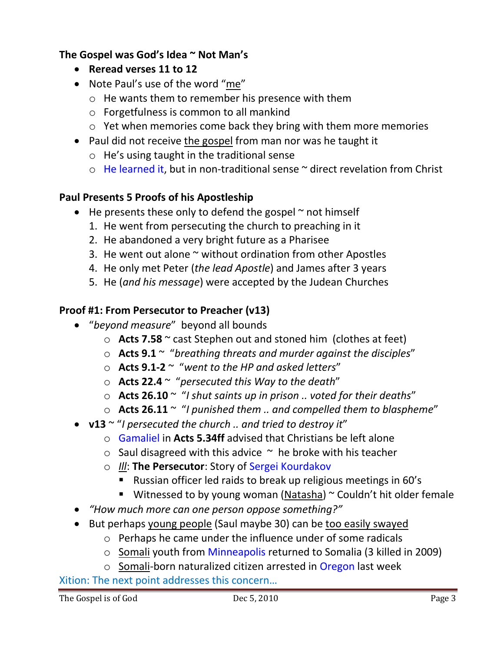# **The Gospel was God's Idea ~ Not Man's**

- **Reread verses 11 to 12**
- Note Paul's use of the word "me"
	- o He wants them to remember his presence with them
	- o Forgetfulness is common to all mankind
	- o Yet when memories come back they bring with them more memories
- Paul did not receive the gospel from man nor was he taught it
	- o He's using taught in the traditional sense
	- $\circ$  He learned it, but in non-traditional sense  $\sim$  direct revelation from Christ

# **Paul Presents 5 Proofs of his Apostleship**

- $\bullet$  He presents these only to defend the gospel  $\sim$  not himself
	- 1. He went from persecuting the church to preaching in it
	- 2. He abandoned a very bright future as a Pharisee
	- 3. He went out alone  $\sim$  without ordination from other Apostles
	- 4. He only met Peter (*the lead Apostle*) and James after 3 years
	- 5. He (*and his message*) were accepted by the Judean Churches

# **Proof #1: From Persecutor to Preacher (v13)**

- "*beyond measure*" beyond all bounds
	- o **Acts 7.58** ~ cast Stephen out and stoned him (clothes at feet)
	- o **Acts 9.1** ~ "*breathing threats and murder against the disciples*"
	- o **Acts 9.1-2** ~ "*went to the HP and asked letters*"
	- o **Acts 22.4** ~ "*persecuted this Way to the death*"
	- o **Acts 26.10** ~ "*I shut saints up in prison .. voted for their deaths*"
	- o **Acts 26.11** ~ "*I punished them .. and compelled them to blaspheme*"
- **v13** ~ "*I persecuted the church .. and tried to destroy it*"
	- o Gamaliel in **Acts 5.34ff** advised that Christians be left alone
	- $\circ$  Saul disagreed with this advice  $\sim$  he broke with his teacher
	- o *Ill*: **The Persecutor**: Story of Sergei Kourdakov
		- Russian officer led raids to break up religious meetings in 60's
		- **Witnessed to by young woman (Natasha)**  $\sim$  Couldn't hit older female
- *"How much more can one person oppose something?"*
- But perhaps young people (Saul maybe 30) can be too easily swayed
	- o Perhaps he came under the influence under of some radicals
	- o Somali youth from Minneapolis returned to Somalia (3 killed in 2009)
	- o Somali-born naturalized citizen arrested in Oregon last week

Xition: The next point addresses this concern…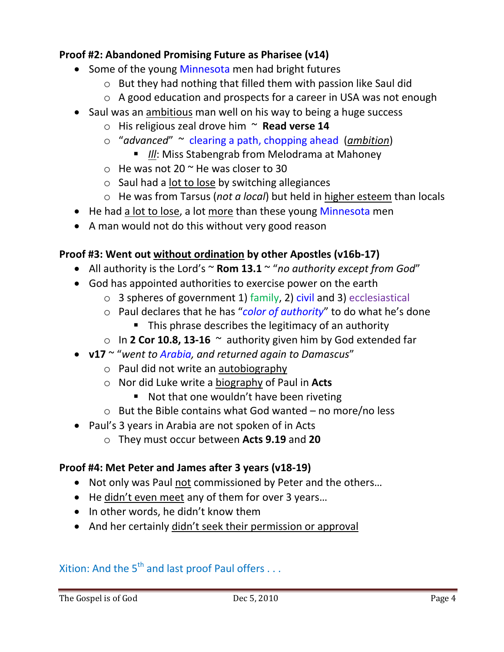## **Proof #2: Abandoned Promising Future as Pharisee (v14)**

- Some of the young Minnesota men had bright futures
	- o But they had nothing that filled them with passion like Saul did
	- o A good education and prospects for a career in USA was not enough
- Saul was an ambitious man well on his way to being a huge success
	- o His religious zeal drove him ~ **Read verse 14**
	- o "*advanced*" ~ clearing a path, chopping ahead (*ambition*)
		- **III:** Miss Stabengrab from Melodrama at Mahoney
	- $\circ$  He was not 20  $\sim$  He was closer to 30
	- o Saul had a lot to lose by switching allegiances
	- o He was from Tarsus (*not a local*) but held in higher esteem than locals
- He had a lot to lose, a lot more than these young Minnesota men
- A man would not do this without very good reason

# **Proof #3: Went out without ordination by other Apostles (v16b-17)**

- All authority is the Lord's ~ **Rom 13.1** ~ "*no authority except from God*"
- God has appointed authorities to exercise power on the earth
	- $\circ$  3 spheres of government 1) family, 2) civil and 3) ecclesiastical
	- o Paul declares that he has "*color of authority*" to do what he's done
		- **This phrase describes the legitimacy of an authority**
	- o In **2 Cor 10.8, 13-16** ~ authority given him by God extended far
- **v17** ~ "*went to Arabia, and returned again to Damascus*"
	- o Paul did not write an autobiography
	- o Nor did Luke write a biography of Paul in **Acts**
		- Not that one wouldn't have been riveting
	- $\circ$  But the Bible contains what God wanted no more/no less
- Paul's 3 years in Arabia are not spoken of in Acts
	- o They must occur between **Acts 9.19** and **20**

#### **Proof #4: Met Peter and James after 3 years (v18-19)**

- Not only was Paul not commissioned by Peter and the others…
- He didn't even meet any of them for over 3 years...
- In other words, he didn't know them
- And her certainly didn't seek their permission or approval

# Xition: And the  $5^{th}$  and last proof Paul offers . . .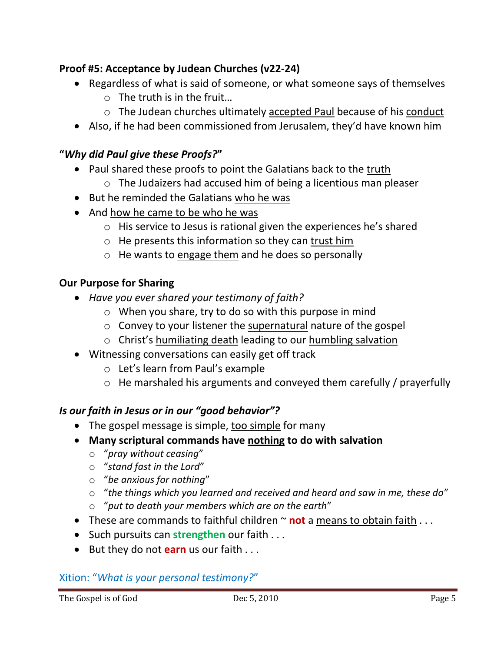# **Proof #5: Acceptance by Judean Churches (v22-24)**

- Regardless of what is said of someone, or what someone says of themselves
	- o The truth is in the fruit…
	- $\circ$  The Judean churches ultimately accepted Paul because of his conduct
- Also, if he had been commissioned from Jerusalem, they'd have known him

#### **"***Why did Paul give these Proofs?***"**

- Paul shared these proofs to point the Galatians back to the truth
	- o The Judaizers had accused him of being a licentious man pleaser
- But he reminded the Galatians who he was
- And how he came to be who he was
	- o His service to Jesus is rational given the experiences he's shared
	- $\circ$  He presents this information so they can trust him
	- $\circ$  He wants to engage them and he does so personally

#### **Our Purpose for Sharing**

- *Have you ever shared your testimony of faith?*
	- o When you share, try to do so with this purpose in mind
	- o Convey to your listener the supernatural nature of the gospel
	- o Christ's humiliating death leading to our humbling salvation
- Witnessing conversations can easily get off track
	- o Let's learn from Paul's example
	- o He marshaled his arguments and conveyed them carefully / prayerfully

#### *Is our faith in Jesus or in our "good behavior"?*

- The gospel message is simple, too simple for many
- **Many scriptural commands have nothing to do with salvation**
	- o "*pray without ceasing*"
	- o "*stand fast in the Lord*"
	- o "*be anxious for nothing*"
	- o "*the things which you learned and received and heard and saw in me, these do*"
	- o "*put to death your members which are on the earth*"
- These are commands to faithful children ~ **not** a means to obtain faith . . .
- Such pursuits can **strengthen** our faith . . .
- But they do not **earn** us our faith . . .

#### Xition: "*What is your personal testimony?*"